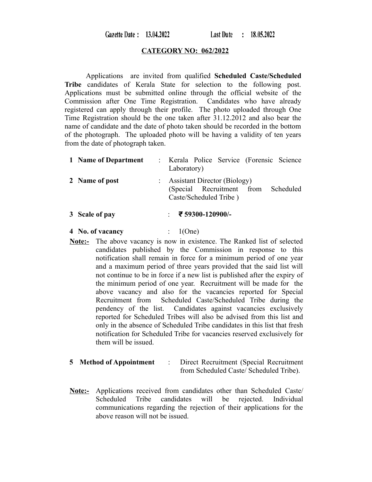Gazette Date: 13.04.2022

Last Date: 18.05.2022

#### **CATEGORY NO: 062/2022**

Applications are invited from qualified **Scheduled Caste/Scheduled Tribe** candidates of Kerala State for selection to the following post. Applications must be submitted online through the official website of the Commission after One Time Registration. Candidates who have already registered can apply through their profile. The photo uploaded through One Time Registration should be the one taken after 31.12.2012 and also bear the name of candidate and the date of photo taken should be recorded in the bottom of the photograph. The uploaded photo will be having a validity of ten years from the date of photograph taken.

| 1 Name of Department | : Kerala Police Service (Forensic Science<br>Laboratory)                                                |
|----------------------|---------------------------------------------------------------------------------------------------------|
| 2 Name of post       | <b>Assistant Director (Biology)</b><br>(Special Recruitment from<br>Scheduled<br>Caste/Scheduled Tribe) |
| 3 Scale of pay       | ₹ 59300-120900/-                                                                                        |

**4 No. of vacancy** : 1(One)

**Note:-** The above vacancy is now in existence. The Ranked list of selected candidates published by the Commission in response to this notification shall remain in force for a minimum period of one year and a maximum period of three years provided that the said list will not continue to be in force if a new list is published after the expiry of the minimum period of one year. Recruitment will be made for the above vacancy and also for the vacancies reported for Special Recruitment from Scheduled Caste/Scheduled Tribe during the pendency of the list. Candidates against vacancies exclusively reported for Scheduled Tribes will also be advised from this list and only in the absence of Scheduled Tribe candidates in this list that fresh notification for Scheduled Tribe for vacancies reserved exclusively for them will be issued.

### **5 Method of Appointment** : Direct Recruitment (Special Recruitment from Scheduled Caste/ Scheduled Tribe).

**Note:-** Applications received from candidates other than Scheduled Caste/ Scheduled Tribe candidates will be rejected. Individual communications regarding the rejection of their applications for the above reason will not be issued.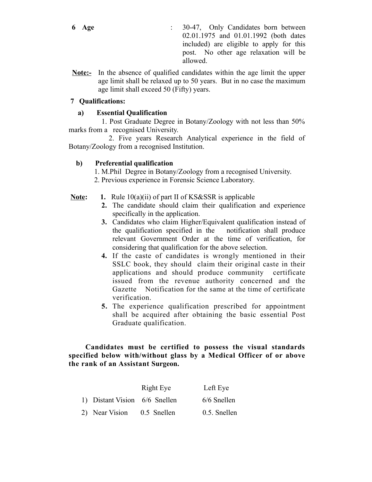- **6 Age** : 30-47, Only Candidates born between 02.01.1975 and 01.01.1992 (both dates included) are eligible to apply for this post. No other age relaxation will be allowed.
- **Note:-** In the absence of qualified candidates within the age limit the upper age limit shall be relaxed up to 50 years. But in no case the maximum age limit shall exceed 50 (Fifty) years.

## **7 Qualifications:**

### **a) Essential Qualification**

1. Post Graduate Degree in Botany/Zoology with not less than 50% marks from a recognised University.

 2. Five years Research Analytical experience in the field of Botany/Zoology from a recognised Institution.

# **b) Preferential qualification**

- 1. M.Phil Degree in Botany/Zoology from a recognised University.
- 2. Previous experience in Forensic Science Laboratory.

# **<u>Note</u>:** 1. Rule 10(a)(ii) of part II of KS&SSR is applicable

- **2.** The candidate should claim their qualification and experience specifically in the application.
- **3.** Candidates who claim Higher/Equivalent qualification instead of the qualification specified in the notification shall produce relevant Government Order at the time of verification, for considering that qualification for the above selection.
- **4.** If the caste of candidates is wrongly mentioned in their SSLC book, they should claim their original caste in their applications and should produce community certificate issued from the revenue authority concerned and the Gazette Notification for the same at the time of certificate verification.
- **5.** The experience qualification prescribed for appointment shall be acquired after obtaining the basic essential Post Graduate qualification.

### **Candidates must be certified to possess the visual standards specified below with/without glass by a Medical Officer of or above the rank of an Assistant Surgeon.**

|                               | Right Eye   | Left Eye     |
|-------------------------------|-------------|--------------|
| 1) Distant Vision 6/6 Snellen |             | 6/6 Snellen  |
| 2) Near Vision                | 0.5 Snellen | 0.5. Snellen |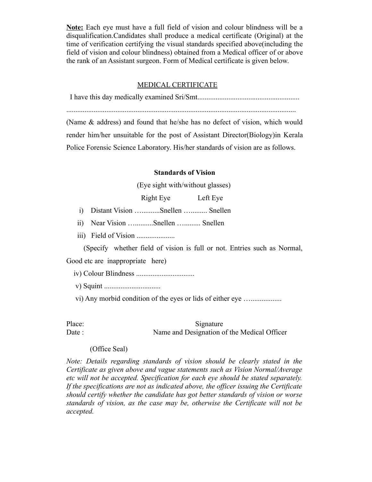**Note:** Each eye must have a full field of vision and colour blindness will be a disqualification.Candidates shall produce a medical certificate (Original) at the time of verification certifying the visual standards specified above(including the field of vision and colour blindness) obtained from a Medical officer of or above the rank of an Assistant surgeon. Form of Medical certificate is given below.

#### MEDICAL CERTIFICATE

I have this day medically examined Sri/Smt........................................................

..............................................................................................................................

(Name & address) and found that he/she has no defect of vision, which would render him/her unsuitable for the post of Assistant Director(Biology)in Kerala Police Forensic Science Laboratory. His/her standards of vision are as follows.

#### **Standards of Vision**

(Eye sight with/without glasses)

Right Eye Left Eye

- i) Distant Vision …..........Snellen …......... Snellen
- ii) Near Vision …..........Snellen …......... Snellen
- iii) Field of Vision .....................

(Specify whether field of vision is full or not. Entries such as Normal,

Good etc are inappropriate here)

- iv) Colour Blindness ................................
- v) Squint ...............................
- vi) Any morbid condition of the eyes or lids of either eye ….................

Place: Signature Date : Name and Designation of the Medical Officer

#### (Office Seal)

*Note: Details regarding standards of vision should be clearly stated in the Certificate as given above and vague statements such as Vision Normal/Average etc will not be accepted. Specification for each eye should be stated separately. If the specifications are not as indicated above, the officer issuing the Certificate should certify whether the candidate has got better standards of vision or worse standards of vision, as the case may be, otherwise the Certificate will not be accepted.*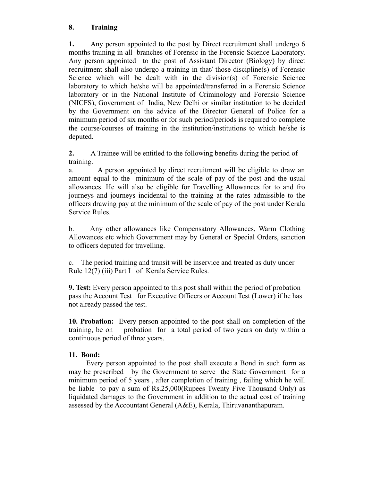### **8. Training**

**1.** Any person appointed to the post by Direct recruitment shall undergo 6 months training in all branches of Forensic in the Forensic Science Laboratory. Any person appointed to the post of Assistant Director (Biology) by direct recruitment shall also undergo a training in that/ those discipline(s) of Forensic Science which will be dealt with in the division(s) of Forensic Science laboratory to which he/she will be appointed/transferred in a Forensic Science laboratory or in the National Institute of Criminology and Forensic Science (NICFS), Government of India, New Delhi or similar institution to be decided by the Government on the advice of the Director General of Police for a minimum period of six months or for such period/periods is required to complete the course/courses of training in the institution/institutions to which he/she is deputed.

**2.** A Trainee will be entitled to the following benefits during the period of training.

a. A person appointed by direct recruitment will be eligible to draw an amount equal to the minimum of the scale of pay of the post and the usual allowances. He will also be eligible for Travelling Allowances for to and fro journeys and journeys incidental to the training at the rates admissible to the officers drawing pay at the minimum of the scale of pay of the post under Kerala Service Rules.

b. Any other allowances like Compensatory Allowances, Warm Clothing Allowances etc which Government may by General or Special Orders, sanction to officers deputed for travelling.

c. The period training and transit will be inservice and treated as duty under Rule 12(7) (iii) Part I of Kerala Service Rules.

**9. Test:** Every person appointed to this post shall within the period of probation pass the Account Test for Executive Officers or Account Test (Lower) if he has not already passed the test.

**10. Probation:** Every person appointed to the post shall on completion of the training, be on probation for a total period of two years on duty within a continuous period of three years.

### **11. Bond:**

Every person appointed to the post shall execute a Bond in such form as may be prescribed by the Government to serve the State Government for a minimum period of 5 years , after completion of training , failing which he will be liable to pay a sum of Rs.25,000(Rupees Twenty Five Thousand Only) as liquidated damages to the Government in addition to the actual cost of training assessed by the Accountant General (A&E), Kerala, Thiruvananthapuram.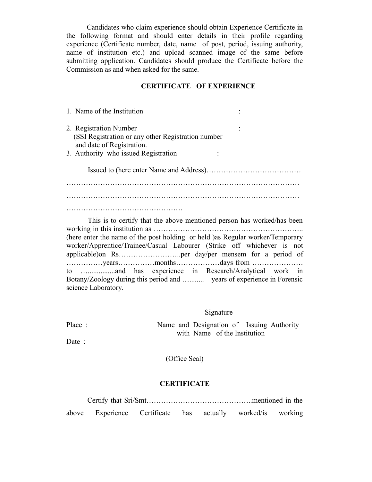Candidates who claim experience should obtain Experience Certificate in the following format and should enter details in their profile regarding experience (Certificate number, date, name of post, period, issuing authority, name of institution etc.) and upload scanned image of the same before submitting application. Candidates should produce the Certificate before the Commission as and when asked for the same.

#### **CERTIFICATE OF EXPERIENCE**

| 1. Name of the Institution                          |  |
|-----------------------------------------------------|--|
| 2. Registration Number                              |  |
| (SSI Registration or any other Registration number) |  |
| and date of Registration.                           |  |
| 3. Authority who issued Registration                |  |
|                                                     |  |
|                                                     |  |
|                                                     |  |
|                                                     |  |
|                                                     |  |

This is to certify that the above mentioned person has worked/has been working in this institution as …………………………………………………….. (here enter the name of the post holding or held )as Regular worker/Temporary worker/Apprentice/Trainee/Casual Labourer (Strike off whichever is not applicable)on Rs……………………..per day/per mensem for a period of ……………years……………months………………days from ………………… to …...............and has experience in Research/Analytical work in Botany/Zoology during this period and …........ years of experience in Forensic science Laboratory.

#### Signature

Place : Name and Designation of Issuing Authority with Name of the Institution

Date :

(Office Seal)

### **CERTIFICATE**

 Certify that Sri/Smt……………………………………..mentioned in the above Experience Certificate has actually worked/is working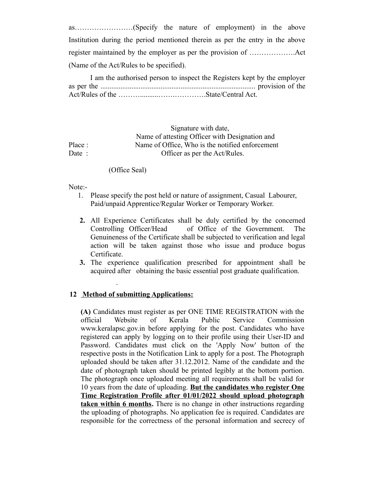as……………………(Specify the nature of employment) in the above Institution during the period mentioned therein as per the entry in the above register maintained by the employer as per the provision of ……………….Act (Name of the Act/Rules to be specified).

I am the authorised person to inspect the Registers kept by the employer as per the ..................................................................................... provision of the Act/Rules of the ………..........…….………….State/Central Act.

 Signature with date, Name of attesting Officer with Designation and Place : Name of Office, Who is the notified enforcement Date : Officer as per the Act/Rules.

#### (Office Seal)

Note:-

.

- 1. Please specify the post held or nature of assignment, Casual Labourer, Paid/unpaid Apprentice/Regular Worker or Temporary Worker.
- **2.** All Experience Certificates shall be duly certified by the concerned Controlling Officer/Head of Office of the Government. The Genuineness of the Certificate shall be subjected to verification and legal action will be taken against those who issue and produce bogus Certificate.
- **3.** The experience qualification prescribed for appointment shall be acquired after obtaining the basic essential post graduate qualification.

### **12 Method of submitting Applications:**

**(A)** Candidates must register as per ONE TIME REGISTRATION with the official Website of Kerala Public Service Commission www.keralapsc.gov.in before applying for the post. Candidates who have registered can apply by logging on to their profile using their User-ID and Password. Candidates must click on the 'Apply Now' button of the respective posts in the Notification Link to apply for a post. The Photograph uploaded should be taken after 31.12.2012. Name of the candidate and the date of photograph taken should be printed legibly at the bottom portion. The photograph once uploaded meeting all requirements shall be valid for 10 years from the date of uploading. **But the candidates who register One Time Registration Profile after 01/01/2022 should upload photograph taken within 6 months.** There is no change in other instructions regarding the uploading of photographs. No application fee is required. Candidates are responsible for the correctness of the personal information and secrecy of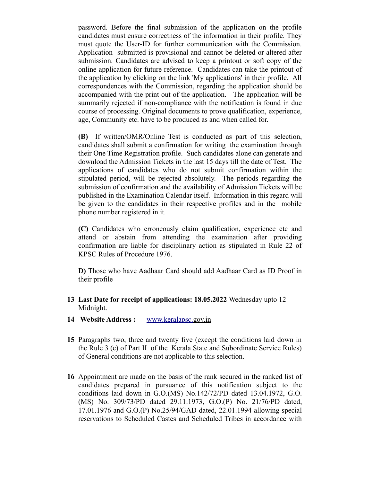password. Before the final submission of the application on the profile candidates must ensure correctness of the information in their profile. They must quote the User-ID for further communication with the Commission. Application submitted is provisional and cannot be deleted or altered after submission. Candidates are advised to keep a printout or soft copy of the online application for future reference. Candidates can take the printout of the application by clicking on the link 'My applications' in their profile. All correspondences with the Commission, regarding the application should be accompanied with the print out of the application. The application will be summarily rejected if non-compliance with the notification is found in due course of processing. Original documents to prove qualification, experience, age, Community etc. have to be produced as and when called for.

**(B)** If written/OMR/Online Test is conducted as part of this selection, candidates shall submit a confirmation for writing the examination through their One Time Registration profile. Such candidates alone can generate and download the Admission Tickets in the last 15 days till the date of Test. The applications of candidates who do not submit confirmation within the stipulated period, will be rejected absolutely. The periods regarding the submission of confirmation and the availability of Admission Tickets will be published in the Examination Calendar itself. Information in this regard will be given to the candidates in their respective profiles and in the mobile phone number registered in it.

**(C)** Candidates who erroneously claim qualification, experience etc and attend or abstain from attending the examination after providing confirmation are liable for disciplinary action as stipulated in Rule 22 of KPSC Rules of Procedure 1976.

**D)** Those who have Aadhaar Card should add Aadhaar Card as ID Proof in their profile

- **13 Last Date for receipt of applications: 18.05.2022** Wednesday upto 12 Midnight.
- **14 Website Address :** [www.keralapsc.gov.in](http://www.keralapsc.gov.in/)
- **15** Paragraphs two, three and twenty five (except the conditions laid down in the Rule 3 (c) of Part II of the Kerala State and Subordinate Service Rules) of General conditions are not applicable to this selection.
- **16** Appointment are made on the basis of the rank secured in the ranked list of candidates prepared in pursuance of this notification subject to the conditions laid down in G.O.(MS) No.142/72/PD dated 13.04.1972, G.O. (MS) No. 309/73/PD dated 29.11.1973, G.O.(P) No. 21/76/PD dated, 17.01.1976 and G.O.(P) No.25/94/GAD dated, 22.01.1994 allowing special reservations to Scheduled Castes and Scheduled Tribes in accordance with